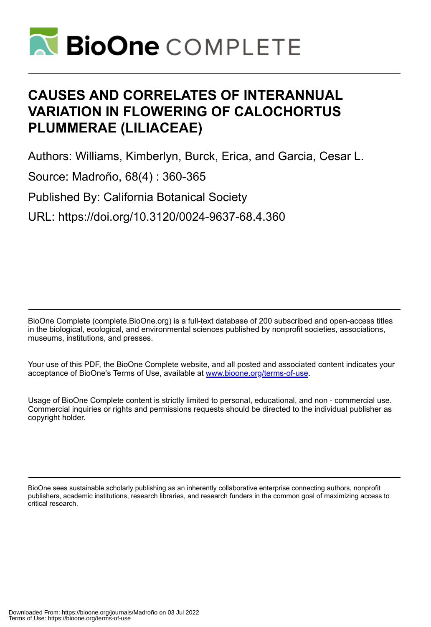

# **CAUSES AND CORRELATES OF INTERANNUAL VARIATION IN FLOWERING OF CALOCHORTUS PLUMMERAE (LILIACEAE)**

Authors: Williams, Kimberlyn, Burck, Erica, and Garcia, Cesar L.

Source: Madroño, 68(4) : 360-365

Published By: California Botanical Society

URL: https://doi.org/10.3120/0024-9637-68.4.360

BioOne Complete (complete.BioOne.org) is a full-text database of 200 subscribed and open-access titles in the biological, ecological, and environmental sciences published by nonprofit societies, associations, museums, institutions, and presses.

Your use of this PDF, the BioOne Complete website, and all posted and associated content indicates your acceptance of BioOne's Terms of Use, available at www.bioone.org/terms-of-use.

Usage of BioOne Complete content is strictly limited to personal, educational, and non - commercial use. Commercial inquiries or rights and permissions requests should be directed to the individual publisher as copyright holder.

BioOne sees sustainable scholarly publishing as an inherently collaborative enterprise connecting authors, nonprofit publishers, academic institutions, research libraries, and research funders in the common goal of maximizing access to critical research.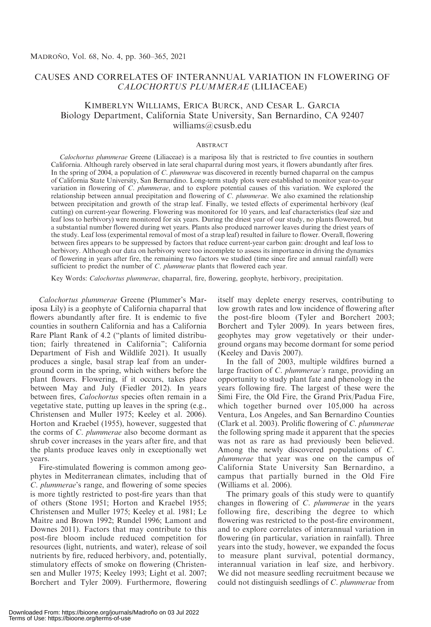# CAUSES AND CORRELATES OF INTERANNUAL VARIATION IN FLOWERING OF CALOCHORTUS PLUMMERAE (LILIACEAE)

# KIMBERLYN WILLIAMS, ERICA BURCK, AND CESAR L. GARCIA Biology Department, California State University, San Bernardino, CA 92407 williams@csusb.edu

# **ABSTRACT**

Calochortus plummerae Greene (Liliaceae) is a mariposa lily that is restricted to five counties in southern California. Although rarely observed in late seral chaparral during most years, it flowers abundantly after fires. In the spring of 2004, a population of C. *plummerae* was discovered in recently burned chaparral on the campus of California State University, San Bernardino. Long-term study plots were established to monitor year-to-year variation in flowering of C. plummerae, and to explore potential causes of this variation. We explored the relationship between annual precipitation and flowering of C. plummerae. We also examined the relationship between precipitation and growth of the strap leaf. Finally, we tested effects of experimental herbivory (leaf cutting) on current-year flowering. Flowering was monitored for 10 years, and leaf characteristics (leaf size and leaf loss to herbivory) were monitored for six years. During the driest year of our study, no plants flowered, but a substantial number flowered during wet years. Plants also produced narrower leaves during the driest years of the study. Leaf loss (experimental removal of most of a strap leaf) resulted in failure to flower. Overall, flowering between fires appears to be suppressed by factors that reduce current-year carbon gain: drought and leaf loss to herbivory. Although our data on herbivory were too incomplete to assess its importance in driving the dynamics of flowering in years after fire, the remaining two factors we studied (time since fire and annual rainfall) were sufficient to predict the number of C. plummerae plants that flowered each year.

Key Words: Calochortus plummerae, chaparral, fire, flowering, geophyte, herbivory, precipitation.

Calochortus plummerae Greene (Plummer's Mariposa Lily) is a geophyte of California chaparral that flowers abundantly after fire. It is endemic to five counties in southern California and has a California Rare Plant Rank of 4.2 (''plants of limited distribution; fairly threatened in California''; California Department of Fish and Wildlife 2021). It usually produces a single, basal strap leaf from an underground corm in the spring, which withers before the plant flowers. Flowering, if it occurs, takes place between May and July (Fiedler 2012). In years between fires, *Calochortus* species often remain in a vegetative state, putting up leaves in the spring (e.g., Christensen and Muller 1975; Keeley et al. 2006). Horton and Kraebel (1955), however, suggested that the corms of C. plummerae also become dormant as shrub cover increases in the years after fire, and that the plants produce leaves only in exceptionally wet years.

Fire-stimulated flowering is common among geophytes in Mediterranean climates, including that of C. plummerae's range, and flowering of some species is more tightly restricted to post-fire years than that of others (Stone 1951; Horton and Kraebel 1955; Christensen and Muller 1975; Keeley et al. 1981; Le Maitre and Brown 1992; Rundel 1996; Lamont and Downes 2011). Factors that may contribute to this post-fire bloom include reduced competition for resources (light, nutrients, and water), release of soil nutrients by fire, reduced herbivory, and, potentially, stimulatory effects of smoke on flowering (Christensen and Muller 1975; Keeley 1993; Light et al. 2007; Borchert and Tyler 2009). Furthermore, flowering itself may deplete energy reserves, contributing to low growth rates and low incidence of flowering after the post-fire bloom (Tyler and Borchert 2003; Borchert and Tyler 2009). In years between fires, geophytes may grow vegetatively or their underground organs may become dormant for some period (Keeley and Davis 2007).

In the fall of 2003, multiple wildfires burned a large fraction of C. plummerae's range, providing an opportunity to study plant fate and phenology in the years following fire. The largest of these were the Simi Fire, the Old Fire, the Grand Prix/Padua Fire, which together burned over 105,000 ha across Ventura, Los Angeles, and San Bernardino Counties (Clark et al. 2003). Prolific flowering of C. plummerae the following spring made it apparent that the species was not as rare as had previously been believed. Among the newly discovered populations of C. plummerae that year was one on the campus of California State University San Bernardino, a campus that partially burned in the Old Fire (Williams et al. 2006).

The primary goals of this study were to quantify changes in flowering of C. plummerae in the years following fire, describing the degree to which flowering was restricted to the post-fire environment, and to explore correlates of interannual variation in flowering (in particular, variation in rainfall). Three years into the study, however, we expanded the focus to measure plant survival, potential dormancy, interannual variation in leaf size, and herbivory. We did not measure seedling recruitment because we could not distinguish seedlings of C. plummerae from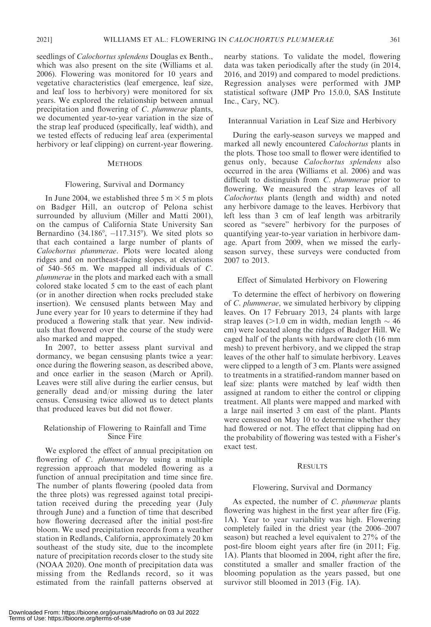seedlings of *Calochortus splendens* Douglas ex Benth., which was also present on the site (Williams et al. 2006). Flowering was monitored for 10 years and vegetative characteristics (leaf emergence, leaf size, and leaf loss to herbivory) were monitored for six years. We explored the relationship between annual precipitation and flowering of C. plummerae plants, we documented year-to-year variation in the size of the strap leaf produced (specifically, leaf width), and we tested effects of reducing leaf area (experimental herbivory or leaf clipping) on current-year flowering.

# **METHODS**

#### Flowering, Survival and Dormancy

In June 2004, we established three 5 m  $\times$  5 m plots on Badger Hill, an outcrop of Pelona schist surrounded by alluvium (Miller and Matti 2001), on the campus of California State University San Bernardino  $(34.186^{\circ}, -117.315^{\circ})$ . We sited plots so that each contained a large number of plants of Calochortus plummerae. Plots were located along ridges and on northeast-facing slopes, at elevations of 540–565 m. We mapped all individuals of C. plummerae in the plots and marked each with a small colored stake located 5 cm to the east of each plant (or in another direction when rocks precluded stake insertion). We censused plants between May and June every year for 10 years to determine if they had produced a flowering stalk that year. New individuals that flowered over the course of the study were also marked and mapped.

In 2007, to better assess plant survival and dormancy, we began censusing plants twice a year: once during the flowering season, as described above, and once earlier in the season (March or April). Leaves were still alive during the earlier census, but generally dead and/or missing during the later census. Censusing twice allowed us to detect plants that produced leaves but did not flower.

# Relationship of Flowering to Rainfall and Time Since Fire

We explored the effect of annual precipitation on flowering of C. plummerae by using a multiple regression approach that modeled flowering as a function of annual precipitation and time since fire. The number of plants flowering (pooled data from the three plots) was regressed against total precipitation received during the preceding year (July through June) and a function of time that described how flowering decreased after the initial post-fire bloom. We used precipitation records from a weather station in Redlands, California, approximately 20 km southeast of the study site, due to the incomplete nature of precipitation records closer to the study site (NOAA 2020). One month of precipitation data was missing from the Redlands record, so it was estimated from the rainfall patterns observed at

nearby stations. To validate the model, flowering data was taken periodically after the study (in 2014, 2016, and 2019) and compared to model predictions. Regression analyses were performed with JMP statistical software (JMP Pro 15.0.0, SAS Institute Inc., Cary, NC).

# Interannual Variation in Leaf Size and Herbivory

During the early-season surveys we mapped and marked all newly encountered Calochortus plants in the plots. Those too small to flower were identified to genus only, because Calochortus splendens also occurred in the area (Williams et al. 2006) and was difficult to distinguish from C. plummerae prior to flowering. We measured the strap leaves of all Calochortus plants (length and width) and noted any herbivore damage to the leaves. Herbivory that left less than 3 cm of leaf length was arbitrarily scored as ''severe'' herbivory for the purposes of quantifying year-to-year variation in herbivore damage. Apart from 2009, when we missed the earlyseason survey, these surveys were conducted from 2007 to 2013.

# Effect of Simulated Herbivory on Flowering

To determine the effect of herbivory on flowering of C. plummerae, we simulated herbivory by clipping leaves. On 17 February 2013, 24 plants with large strap leaves ( $>1.0$  cm in width, median length  $\sim$  46 cm) were located along the ridges of Badger Hill. We caged half of the plants with hardware cloth (16 mm mesh) to prevent herbivory, and we clipped the strap leaves of the other half to simulate herbivory. Leaves were clipped to a length of 3 cm. Plants were assigned to treatments in a stratified-random manner based on leaf size: plants were matched by leaf width then assigned at random to either the control or clipping treatment. All plants were mapped and marked with a large nail inserted 3 cm east of the plant. Plants were censused on May 10 to determine whether they had flowered or not. The effect that clipping had on the probability of flowering was tested with a Fisher's exact test.

# **RESULTS**

#### Flowering, Survival and Dormancy

As expected, the number of C. plummerae plants flowering was highest in the first year after fire (Fig. 1A). Year to year variability was high. Flowering completely failed in the driest year (the 2006–2007 season) but reached a level equivalent to 27% of the post-fire bloom eight years after fire (in 2011; Fig. 1A). Plants that bloomed in 2004, right after the fire, constituted a smaller and smaller fraction of the blooming population as the years passed, but one survivor still bloomed in 2013 (Fig. 1A).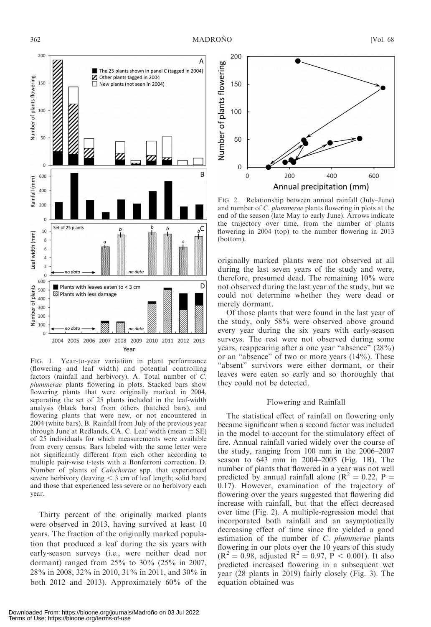

FIG. 1. Year-to-year variation in plant performance (flowering and leaf width) and potential controlling factors (rainfall and herbivory). A. Total number of C. plummerae plants flowering in plots. Stacked bars show flowering plants that were originally marked in 2004, separating the set of 25 plants included in the leaf-width analysis (black bars) from others (hatched bars), and flowering plants that were new, or not encountered in 2004 (white bars). B. Rainfall from July of the previous year through June at Redlands, CA. C. Leaf width (mean  $\pm$  SE) of 25 individuals for which measurements were available from every census. Bars labeled with the same letter were not significantly different from each other according to multiple pair-wise t-tests with a Bonferroni correction. D. Number of plants of Calochortus spp. that experienced severe herbivory (leaving  $\leq$  3 cm of leaf length; solid bars) and those that experienced less severe or no herbivory each year.

Thirty percent of the originally marked plants were observed in 2013, having survived at least 10 years. The fraction of the originally marked population that produced a leaf during the six years with early-season surveys (i.e., were neither dead nor dormant) ranged from 25% to 30% (25% in 2007, 28% in 2008, 32% in 2010, 31% in 2011, and 30% in both 2012 and 2013). Approximately 60% of the



FIG. 2. Relationship between annual rainfall (July–June) and number of C. plummerae plants flowering in plots at the end of the season (late May to early June). Arrows indicate the trajectory over time, from the number of plants flowering in 2004 (top) to the number flowering in 2013 (bottom).

originally marked plants were not observed at all during the last seven years of the study and were, therefore, presumed dead. The remaining 10% were not observed during the last year of the study, but we could not determine whether they were dead or merely dormant.

Of those plants that were found in the last year of the study, only 58% were observed above ground every year during the six years with early-season surveys. The rest were not observed during some years, reappearing after a one year "absence" (28%) or an ''absence'' of two or more years (14%). These "absent" survivors were either dormant, or their leaves were eaten so early and so thoroughly that they could not be detected.

#### Flowering and Rainfall

The statistical effect of rainfall on flowering only became significant when a second factor was included in the model to account for the stimulatory effect of fire. Annual rainfall varied widely over the course of the study, ranging from 100 mm in the 2006–2007 season to 643 mm in 2004–2005 (Fig. 1B). The number of plants that flowered in a year was not well predicted by annual rainfall alone ( $\mathbb{R}^2 = 0.22$ ,  $\mathbb{P} =$ 0.17). However, examination of the trajectory of flowering over the years suggested that flowering did increase with rainfall, but that the effect decreased over time (Fig. 2). A multiple-regression model that incorporated both rainfall and an asymptotically decreasing effect of time since fire yielded a good estimation of the number of C. plummerae plants flowering in our plots over the 10 years of this study  $(R^{2} = 0.98$ , adjusted  $R^{2} = 0.97$ ,  $P < 0.001$ ). It also predicted increased flowering in a subsequent wet year (28 plants in 2019) fairly closely (Fig. 3). The equation obtained was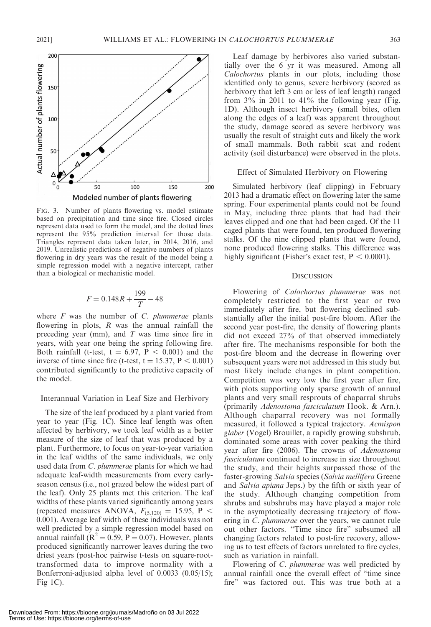

Calochortus plants in our plots, including those identified only to genus, severe herbivory (scored as herbivory that left 3 cm or less of leaf length) ranged from  $3\%$  in 2011 to  $41\%$  the following year (Fig. 1D). Although insect herbivory (small bites, often along the edges of a leaf) was apparent throughout the study, damage scored as severe herbivory was usually the result of straight cuts and likely the work of small mammals. Both rabbit scat and rodent activity (soil disturbance) were observed in the plots.

#### Effect of Simulated Herbivory on Flowering

Simulated herbivory (leaf clipping) in February 2013 had a dramatic effect on flowering later the same spring. Four experimental plants could not be found in May, including three plants that had had their leaves clipped and one that had been caged. Of the 11 caged plants that were found, ten produced flowering stalks. Of the nine clipped plants that were found, none produced flowering stalks. This difference was highly significant (Fisher's exact test,  $P < 0.0001$ ).

#### **DISCUSSION**

Flowering of Calochortus plummerae was not completely restricted to the first year or two immediately after fire, but flowering declined substantially after the initial post-fire bloom. After the second year post-fire, the density of flowering plants did not exceed 27% of that observed immediately after fire. The mechanisms responsible for both the post-fire bloom and the decrease in flowering over subsequent years were not addressed in this study but most likely include changes in plant competition. Competition was very low the first year after fire, with plots supporting only sparse growth of annual plants and very small resprouts of chaparral shrubs (primarily Adenostoma fasciculatum Hook. & Arn.). Although chaparral recovery was not formally measured, it followed a typical trajectory. Acmispon glaber (Vogel) Brouillet, a rapidly growing subshrub, dominated some areas with cover peaking the third year after fire (2006). The crowns of Adenostoma fasciculatum continued to increase in size throughout the study, and their heights surpassed those of the faster-growing Salvia species (Salvia mellifera Greene and Salvia apiana Jeps.) by the fifth or sixth year of the study. Although changing competition from shrubs and subshrubs may have played a major role in the asymptotically decreasing trajectory of flowering in C. plummerae over the years, we cannot rule out other factors. ''Time since fire'' subsumed all changing factors related to post-fire recovery, allowing us to test effects of factors unrelated to fire cycles, such as variation in rainfall.

Flowering of C. plummerae was well predicted by annual rainfall once the overall effect of ''time since fire'' was factored out. This was true both at a



FIG. 3. Number of plants flowering vs. model estimate based on precipitation and time since fire. Closed circles represent data used to form the model, and the dotted lines represent the 95% prediction interval for those data. Triangles represent data taken later, in 2014, 2016, and 2019. Unrealistic predictions of negative numbers of plants flowering in dry years was the result of the model being a simple regression model with a negative intercept, rather than a biological or mechanistic model.

$$
F = 0.148R + \frac{199}{T} - 48
$$

where  $F$  was the number of  $C$ . plummerae plants flowering in plots,  $R$  was the annual rainfall the preceding year (mm), and  $T$  was time since fire in years, with year one being the spring following fire. Both rainfall (t-test,  $t = 6.97$ ,  $P < 0.001$ ) and the inverse of time since fire (t-test,  $t = 15.37$ ,  $P < 0.001$ ) contributed significantly to the predictive capacity of the model.

#### Interannual Variation in Leaf Size and Herbivory

The size of the leaf produced by a plant varied from year to year (Fig. 1C). Since leaf length was often affected by herbivory, we took leaf width as a better measure of the size of leaf that was produced by a plant. Furthermore, to focus on year-to-year variation in the leaf widths of the same individuals, we only used data from C. plummerae plants for which we had adequate leaf-width measurements from every earlyseason census (i.e., not grazed below the widest part of the leaf). Only 25 plants met this criterion. The leaf widths of these plants varied significantly among years (repeated measures ANOVA,  $F_{(5,120)} = 15.95$ , P < 0.001). Average leaf width of these individuals was not well predicted by a simple regression model based on annual rainfall ( $R^2 = 0.59$ , P = 0.07). However, plants produced significantly narrower leaves during the two driest years (post-hoc pairwise t-tests on square-roottransformed data to improve normality with a Bonferroni-adjusted alpha level of 0.0033 (0.05/15); Fig  $1C$ ).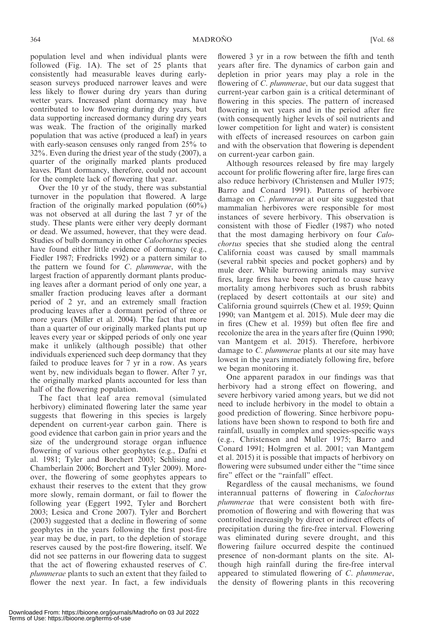population level and when individual plants were followed (Fig. 1A). The set of 25 plants that consistently had measurable leaves during earlyseason surveys produced narrower leaves and were less likely to flower during dry years than during wetter years. Increased plant dormancy may have contributed to low flowering during dry years, but data supporting increased dormancy during dry years was weak. The fraction of the originally marked population that was active (produced a leaf) in years with early-season censuses only ranged from 25% to 32%. Even during the driest year of the study (2007), a quarter of the originally marked plants produced leaves. Plant dormancy, therefore, could not account for the complete lack of flowering that year.

Over the 10 yr of the study, there was substantial turnover in the population that flowered. A large fraction of the originally marked population  $(60\%)$ was not observed at all during the last 7 yr of the study. These plants were either very deeply dormant or dead. We assumed, however, that they were dead. Studies of bulb dormancy in other Calochortus species have found either little evidence of dormancy (e.g., Fiedler 1987; Fredricks 1992) or a pattern similar to the pattern we found for C. plummerae, with the largest fraction of apparently dormant plants producing leaves after a dormant period of only one year, a smaller fraction producing leaves after a dormant period of 2 yr, and an extremely small fraction producing leaves after a dormant period of three or more years (Miller et al. 2004). The fact that more than a quarter of our originally marked plants put up leaves every year or skipped periods of only one year make it unlikely (although possible) that other individuals experienced such deep dormancy that they failed to produce leaves for 7 yr in a row. As years went by, new individuals began to flower. After 7 yr, the originally marked plants accounted for less than half of the flowering population.

The fact that leaf area removal (simulated herbivory) eliminated flowering later the same year suggests that flowering in this species is largely dependent on current-year carbon gain. There is good evidence that carbon gain in prior years and the size of the underground storage organ influence flowering of various other geophytes (e.g., Dafni et al. 1981; Tyler and Borchert 2003; Schlising and Chamberlain 2006; Borchert and Tyler 2009). Moreover, the flowering of some geophytes appears to exhaust their reserves to the extent that they grow more slowly, remain dormant, or fail to flower the following year (Eggert 1992, Tyler and Borchert 2003; Lesica and Crone 2007). Tyler and Borchert (2003) suggested that a decline in flowering of some geophytes in the years following the first post-fire year may be due, in part, to the depletion of storage reserves caused by the post-fire flowering, itself. We did not see patterns in our flowering data to suggest that the act of flowering exhausted reserves of C. plummerae plants to such an extent that they failed to flower the next year. In fact, a few individuals

flowered 3 yr in a row between the fifth and tenth years after fire. The dynamics of carbon gain and depletion in prior years may play a role in the flowering of C. *plummerae*, but our data suggest that current-year carbon gain is a critical determinant of flowering in this species. The pattern of increased flowering in wet years and in the period after fire (with consequently higher levels of soil nutrients and lower competition for light and water) is consistent with effects of increased resources on carbon gain and with the observation that flowering is dependent on current-year carbon gain.

Although resources released by fire may largely account for prolific flowering after fire, large fires can also reduce herbivory (Christensen and Muller 1975; Barro and Conard 1991). Patterns of herbivore damage on C. plummerae at our site suggested that mammalian herbivores were responsible for most instances of severe herbivory. This observation is consistent with those of Fiedler (1987) who noted that the most damaging herbivory on four Calochortus species that she studied along the central California coast was caused by small mammals (several rabbit species and pocket gophers) and by mule deer. While burrowing animals may survive fires, large fires have been reported to cause heavy mortality among herbivores such as brush rabbits (replaced by desert cottontails at our site) and California ground squirrels (Chew et al. 1959; Quinn 1990; van Mantgem et al. 2015). Mule deer may die in fires (Chew et al. 1959) but often flee fire and recolonize the area in the years after fire (Quinn 1990; van Mantgem et al. 2015). Therefore, herbivore damage to *C. plummerae* plants at our site may have lowest in the years immediately following fire, before we began monitoring it.

One apparent paradox in our findings was that herbivory had a strong effect on flowering, and severe herbivory varied among years, but we did not need to include herbivory in the model to obtain a good prediction of flowering. Since herbivore populations have been shown to respond to both fire and rainfall, usually in complex and species-specific ways (e.g., Christensen and Muller 1975; Barro and Conard 1991; Holmgren et al. 2001; van Mantgem et al. 2015) it is possible that impacts of herbivory on flowering were subsumed under either the ''time since fire'' effect or the ''rainfall'' effect.

Regardless of the causal mechanisms, we found interannual patterns of flowering in Calochortus plummerae that were consistent both with firepromotion of flowering and with flowering that was controlled increasingly by direct or indirect effects of precipitation during the fire-free interval. Flowering was eliminated during severe drought, and this flowering failure occurred despite the continued presence of non-dormant plants on the site. Although high rainfall during the fire-free interval appeared to stimulated flowering of C. plummerae, the density of flowering plants in this recovering